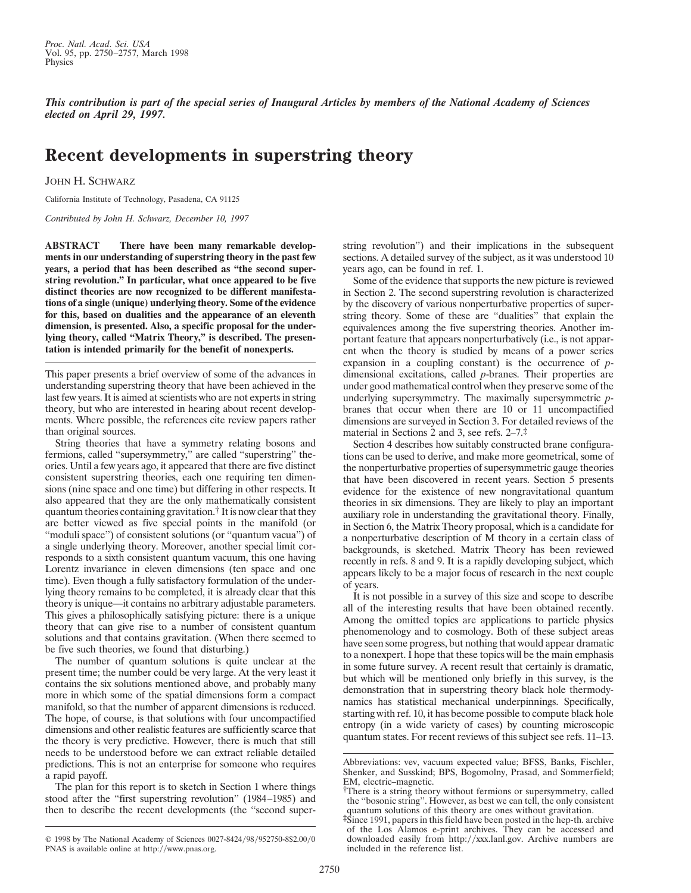*This contribution is part of the special series of Inaugural Articles by members of the National Academy of Sciences elected on April 29, 1997.*

# **Recent developments in superstring theory**

JOHN H. SCHWARZ

California Institute of Technology, Pasadena, CA 91125

*Contributed by John H. Schwarz, December 10, 1997*

**ABSTRACT There have been many remarkable developments in our understanding of superstring theory in the past few years, a period that has been described as ''the second superstring revolution.'' In particular, what once appeared to be five distinct theories are now recognized to be different manifestations of a single (unique) underlying theory. Some of the evidence for this, based on dualities and the appearance of an eleventh dimension, is presented. Also, a specific proposal for the under**lying theory, called "Matrix Theory," is described. The presen**tation is intended primarily for the benefit of nonexperts.**

This paper presents a brief overview of some of the advances in understanding superstring theory that have been achieved in the last few years. It is aimed at scientists who are not experts in string theory, but who are interested in hearing about recent developments. Where possible, the references cite review papers rather than original sources.

String theories that have a symmetry relating bosons and fermions, called ''supersymmetry,'' are called ''superstring'' theories. Until a few years ago, it appeared that there are five distinct consistent superstring theories, each one requiring ten dimensions (nine space and one time) but differing in other respects. It also appeared that they are the only mathematically consistent quantum theories containing gravitation.† It is now clear that they are better viewed as five special points in the manifold (or ''moduli space'') of consistent solutions (or ''quantum vacua'') of a single underlying theory. Moreover, another special limit corresponds to a sixth consistent quantum vacuum, this one having Lorentz invariance in eleven dimensions (ten space and one time). Even though a fully satisfactory formulation of the underlying theory remains to be completed, it is already clear that this theory is unique—it contains no arbitrary adjustable parameters. This gives a philosophically satisfying picture: there is a unique theory that can give rise to a number of consistent quantum solutions and that contains gravitation. (When there seemed to be five such theories, we found that disturbing.)

The number of quantum solutions is quite unclear at the present time; the number could be very large. At the very least it contains the six solutions mentioned above, and probably many more in which some of the spatial dimensions form a compact manifold, so that the number of apparent dimensions is reduced. The hope, of course, is that solutions with four uncompactified dimensions and other realistic features are sufficiently scarce that the theory is very predictive. However, there is much that still needs to be understood before we can extract reliable detailed predictions. This is not an enterprise for someone who requires a rapid payoff.

The plan for this report is to sketch in Section 1 where things stood after the ''first superstring revolution'' (1984–1985) and then to describe the recent developments (the ''second superstring revolution'') and their implications in the subsequent sections. A detailed survey of the subject, as it was understood 10 years ago, can be found in ref. 1.

Some of the evidence that supports the new picture is reviewed in Section 2. The second superstring revolution is characterized by the discovery of various nonperturbative properties of superstring theory. Some of these are ''dualities'' that explain the equivalences among the five superstring theories. Another important feature that appears nonperturbatively (i.e., is not apparent when the theory is studied by means of a power series expansion in a coupling constant) is the occurrence of *p*dimensional excitations, called *p*-branes. Their properties are under good mathematical control when they preserve some of the underlying supersymmetry. The maximally supersymmetric *p*branes that occur when there are 10 or 11 uncompactified dimensions are surveyed in Section 3. For detailed reviews of the material in Sections 2 and 3, see refs. 2–7.‡

Section 4 describes how suitably constructed brane configurations can be used to derive, and make more geometrical, some of the nonperturbative properties of supersymmetric gauge theories that have been discovered in recent years. Section 5 presents evidence for the existence of new nongravitational quantum theories in six dimensions. They are likely to play an important auxiliary role in understanding the gravitational theory. Finally, in Section 6, the Matrix Theory proposal, which is a candidate for a nonperturbative description of M theory in a certain class of backgrounds, is sketched. Matrix Theory has been reviewed recently in refs. 8 and 9. It is a rapidly developing subject, which appears likely to be a major focus of research in the next couple of years.

It is not possible in a survey of this size and scope to describe all of the interesting results that have been obtained recently. Among the omitted topics are applications to particle physics phenomenology and to cosmology. Both of these subject areas have seen some progress, but nothing that would appear dramatic to a nonexpert. I hope that these topics will be the main emphasis in some future survey. A recent result that certainly is dramatic, but which will be mentioned only briefly in this survey, is the demonstration that in superstring theory black hole thermodynamics has statistical mechanical underpinnings. Specifically, starting with ref. 10, it has become possible to compute black hole entropy (in a wide variety of cases) by counting microscopic quantum states. For recent reviews of this subject see refs. 11–13.

<sup>© 1998</sup> by The National Academy of Sciences 0027-8424/98/952750-8\$2.00/0 PNAS is available online at http://www.pnas.org.

Abbreviations: vev, vacuum expected value; BFSS, Banks, Fischler, Shenker, and Susskind; BPS, Bogomolny, Prasad, and Sommerfield; EM, electric–magnetic.

<sup>†</sup>There is a string theory without fermions or supersymmetry, called the ''bosonic string''. However, as best we can tell, the only consistent quantum solutions of this theory are ones without gravitation.

<sup>‡</sup>Since 1991, papers in this field have been posted in the hep-th. archive of the Los Alamos e-print archives. They can be accessed and downloaded easily from http://xxx.lanl.gov. Archive numbers are included in the reference list.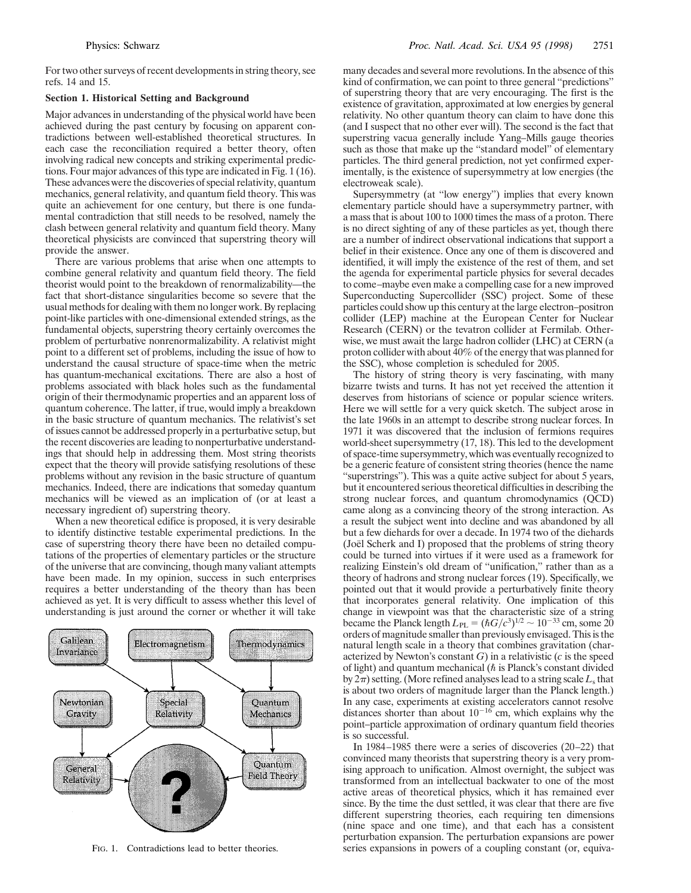For two other surveys of recent developments in string theory, see refs. 14 and 15.

## **Section 1. Historical Setting and Background**

Major advances in understanding of the physical world have been achieved during the past century by focusing on apparent contradictions between well-established theoretical structures. In each case the reconciliation required a better theory, often involving radical new concepts and striking experimental predictions. Four major advances of this type are indicated in Fig. 1 (16). These advances were the discoveries of special relativity, quantum mechanics, general relativity, and quantum field theory. This was quite an achievement for one century, but there is one fundamental contradiction that still needs to be resolved, namely the clash between general relativity and quantum field theory. Many theoretical physicists are convinced that superstring theory will provide the answer.

There are various problems that arise when one attempts to combine general relativity and quantum field theory. The field theorist would point to the breakdown of renormalizability—the fact that short-distance singularities become so severe that the usual methods for dealing with them no longer work. By replacing point-like particles with one-dimensional extended strings, as the fundamental objects, superstring theory certainly overcomes the problem of perturbative nonrenormalizability. A relativist might point to a different set of problems, including the issue of how to understand the causal structure of space-time when the metric has quantum-mechanical excitations. There are also a host of problems associated with black holes such as the fundamental origin of their thermodynamic properties and an apparent loss of quantum coherence. The latter, if true, would imply a breakdown in the basic structure of quantum mechanics. The relativist's set of issues cannot be addressed properly in a perturbative setup, but the recent discoveries are leading to nonperturbative understandings that should help in addressing them. Most string theorists expect that the theory will provide satisfying resolutions of these problems without any revision in the basic structure of quantum mechanics. Indeed, there are indications that someday quantum mechanics will be viewed as an implication of (or at least a necessary ingredient of) superstring theory.

When a new theoretical edifice is proposed, it is very desirable to identify distinctive testable experimental predictions. In the case of superstring theory there have been no detailed computations of the properties of elementary particles or the structure of the universe that are convincing, though many valiant attempts have been made. In my opinion, success in such enterprises requires a better understanding of the theory than has been achieved as yet. It is very difficult to assess whether this level of understanding is just around the corner or whether it will take



many decades and several more revolutions. In the absence of this kind of confirmation, we can point to three general ''predictions'' of superstring theory that are very encouraging. The first is the existence of gravitation, approximated at low energies by general relativity. No other quantum theory can claim to have done this (and I suspect that no other ever will). The second is the fact that superstring vacua generally include Yang–Mills gauge theories such as those that make up the "standard model" of elementary particles. The third general prediction, not yet confirmed experimentally, is the existence of supersymmetry at low energies (the electroweak scale).

Supersymmetry (at ''low energy'') implies that every known elementary particle should have a supersymmetry partner, with a mass that is about 100 to 1000 times the mass of a proton. There is no direct sighting of any of these particles as yet, though there are a number of indirect observational indications that support a belief in their existence. Once any one of them is discovered and identified, it will imply the existence of the rest of them, and set the agenda for experimental particle physics for several decades to come–maybe even make a compelling case for a new improved Superconducting Supercollider (SSC) project. Some of these particles could show up this century at the large electron–positron collider (LEP) machine at the European Center for Nuclear Research (CERN) or the tevatron collider at Fermilab. Otherwise, we must await the large hadron collider (LHC) at CERN (a proton collider with about 40% of the energy that was planned for the SSC), whose completion is scheduled for 2005.

The history of string theory is very fascinating, with many bizarre twists and turns. It has not yet received the attention it deserves from historians of science or popular science writers. Here we will settle for a very quick sketch. The subject arose in the late 1960s in an attempt to describe strong nuclear forces. In 1971 it was discovered that the inclusion of fermions requires world-sheet supersymmetry (17, 18). This led to the development of space-time supersymmetry, which was eventually recognized to be a generic feature of consistent string theories (hence the name "superstrings"). This was a quite active subject for about 5 years, but it encountered serious theoretical difficulties in describing the strong nuclear forces, and quantum chromodynamics (QCD) came along as a convincing theory of the strong interaction. As a result the subject went into decline and was abandoned by all but a few diehards for over a decade. In 1974 two of the diehards (Joël Scherk and I) proposed that the problems of string theory could be turned into virtues if it were used as a framework for realizing Einstein's old dream of "unification," rather than as a theory of hadrons and strong nuclear forces (19). Specifically, we pointed out that it would provide a perturbatively finite theory that incorporates general relativity. One implication of this change in viewpoint was that the characteristic size of a string became the Planck length  $L_{PL} = (\hbar G/c^3)^{1/2} \sim 10^{-33}$  cm, some 20 orders of magnitude smaller than previously envisaged. This is the natural length scale in a theory that combines gravitation (characterized by Newton's constant  $G$ ) in a relativistic ( $c$  is the speed of light) and quantum mechanical  $(\hbar$  is Planck's constant divided by  $2\pi$ ) setting. (More refined analyses lead to a string scale  $L_s$  that is about two orders of magnitude larger than the Planck length.) In any case, experiments at existing accelerators cannot resolve distances shorter than about  $10^{-16}$  cm, which explains why the point–particle approximation of ordinary quantum field theories is so successful.

In 1984–1985 there were a series of discoveries (20–22) that convinced many theorists that superstring theory is a very promising approach to unification. Almost overnight, the subject was transformed from an intellectual backwater to one of the most active areas of theoretical physics, which it has remained ever since. By the time the dust settled, it was clear that there are five different superstring theories, each requiring ten dimensions (nine space and one time), and that each has a consistent perturbation expansion. The perturbation expansions are power FIG. 1. Contradictions lead to better theories. series expansions in powers of a coupling constant (or, equiva-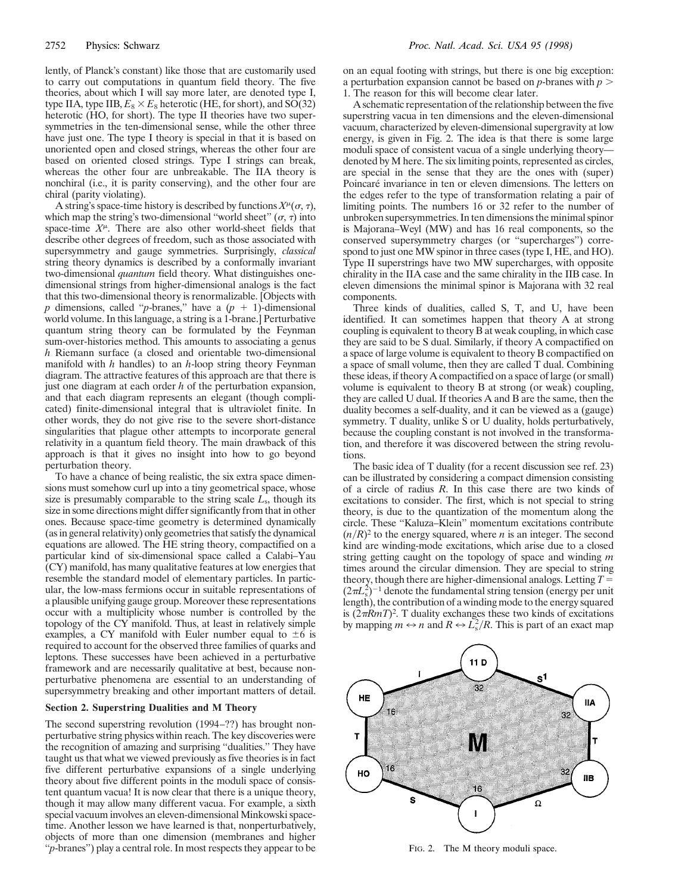lently, of Planck's constant) like those that are customarily used to carry out computations in quantum field theory. The five theories, about which I will say more later, are denoted type I, type IIA, type IIB,  $E_8 \times E_8$  heterotic (HE, for short), and SO(32) heterotic (HO, for short). The type II theories have two supersymmetries in the ten-dimensional sense, while the other three have just one. The type I theory is special in that it is based on unoriented open and closed strings, whereas the other four are based on oriented closed strings. Type I strings can break, whereas the other four are unbreakable. The IIA theory is nonchiral (i.e., it is parity conserving), and the other four are chiral (parity violating).

A string's space-time history is described by functions  $X^{\mu}(\sigma, \tau)$ , which map the string's two-dimensional "world sheet"  $(\sigma, \tau)$  into space-time  $X^{\mu}$ . There are also other world-sheet fields that describe other degrees of freedom, such as those associated with supersymmetry and gauge symmetries. Surprisingly, *classical* string theory dynamics is described by a conformally invariant two-dimensional *quantum* field theory. What distinguishes onedimensional strings from higher-dimensional analogs is the fact that this two-dimensional theory is renormalizable. [Objects with *p* dimensions, called "*p*-branes," have a  $(p + 1)$ -dimensional world volume. In this language, a string is a 1-brane.] Perturbative quantum string theory can be formulated by the Feynman sum-over-histories method. This amounts to associating a genus *h* Riemann surface (a closed and orientable two-dimensional manifold with *h* handles) to an *h*-loop string theory Feynman diagram. The attractive features of this approach are that there is just one diagram at each order *h* of the perturbation expansion, and that each diagram represents an elegant (though complicated) finite-dimensional integral that is ultraviolet finite. In other words, they do not give rise to the severe short-distance singularities that plague other attempts to incorporate general relativity in a quantum field theory. The main drawback of this approach is that it gives no insight into how to go beyond perturbation theory.

To have a chance of being realistic, the six extra space dimensions must somehow curl up into a tiny geometrical space, whose size is presumably comparable to the string scale *L*s, though its size in some directions might differ significantly from that in other ones. Because space-time geometry is determined dynamically (as in general relativity) only geometries that satisfy the dynamical equations are allowed. The HE string theory, compactified on a particular kind of six-dimensional space called a Calabi–Yau (CY) manifold, has many qualitative features at low energies that resemble the standard model of elementary particles. In particular, the low-mass fermions occur in suitable representations of a plausible unifying gauge group. Moreover these representations occur with a multiplicity whose number is controlled by the topology of the CY manifold. Thus, at least in relatively simple examples, a CY manifold with Euler number equal to  $\pm 6$  is required to account for the observed three families of quarks and leptons. These successes have been achieved in a perturbative framework and are necessarily qualitative at best, because nonperturbative phenomena are essential to an understanding of supersymmetry breaking and other important matters of detail.

## **Section 2. Superstring Dualities and M Theory**

The second superstring revolution (1994–??) has brought nonperturbative string physics within reach. The key discoveries were the recognition of amazing and surprising ''dualities.'' They have taught us that what we viewed previously as five theories is in fact five different perturbative expansions of a single underlying theory about five different points in the moduli space of consistent quantum vacua! It is now clear that there is a unique theory, though it may allow many different vacua. For example, a sixth special vacuum involves an eleven-dimensional Minkowski spacetime. Another lesson we have learned is that, nonperturbatively, objects of more than one dimension (membranes and higher "*p*-branes") play a central role. In most respects they appear to be

on an equal footing with strings, but there is one big exception: a perturbation expansion cannot be based on *p*-branes with *p* . 1. The reason for this will become clear later.

A schematic representation of the relationship between the five superstring vacua in ten dimensions and the eleven-dimensional vacuum, characterized by eleven-dimensional supergravity at low energy, is given in Fig. 2. The idea is that there is some large moduli space of consistent vacua of a single underlying theory denoted by M here. The six limiting points, represented as circles, are special in the sense that they are the ones with (super) Poincaré invariance in ten or eleven dimensions. The letters on the edges refer to the type of transformation relating a pair of limiting points. The numbers 16 or 32 refer to the number of unbroken supersymmetries. In ten dimensions the minimal spinor is Majorana–Weyl (MW) and has 16 real components, so the conserved supersymmetry charges (or ''supercharges'') correspond to just one MW spinor in three cases (type I, HE, and HO). Type II superstrings have two MW supercharges, with opposite chirality in the IIA case and the same chirality in the IIB case. In eleven dimensions the minimal spinor is Majorana with 32 real components.

Three kinds of dualities, called S, T, and U, have been identified. It can sometimes happen that theory A at strong coupling is equivalent to theory B at weak coupling, in which case they are said to be S dual. Similarly, if theory A compactified on a space of large volume is equivalent to theory B compactified on a space of small volume, then they are called T dual. Combining these ideas, if theory A compactified on a space of large (or small) volume is equivalent to theory B at strong (or weak) coupling, they are called U dual. If theories A and B are the same, then the duality becomes a self-duality, and it can be viewed as a (gauge) symmetry. T duality, unlike S or U duality, holds perturbatively, because the coupling constant is not involved in the transformation, and therefore it was discovered between the string revolutions.

The basic idea of T duality (for a recent discussion see ref. 23) can be illustrated by considering a compact dimension consisting of a circle of radius *R*. In this case there are two kinds of excitations to consider. The first, which is not special to string theory, is due to the quantization of the momentum along the circle. These ''Kaluza–Klein'' momentum excitations contribute  $(n/R)^2$  to the energy squared, where *n* is an integer. The second kind are winding-mode excitations, which arise due to a closed string getting caught on the topology of space and winding *m* times around the circular dimension. They are special to string theory, though there are higher-dimensional analogs. Letting  $T =$  $(2\pi L_s^2)^{-1}$  denote the fundamental string tension (energy per unit length), the contribution of a winding mode to the energy squared is  $(2\pi RmT)^2$ . T duality exchanges these two kinds of excitations by mapping  $m \leftrightarrow n$  and  $R \leftrightarrow L_s^2/R$ . This is part of an exact map



FIG. 2. The M theory moduli space.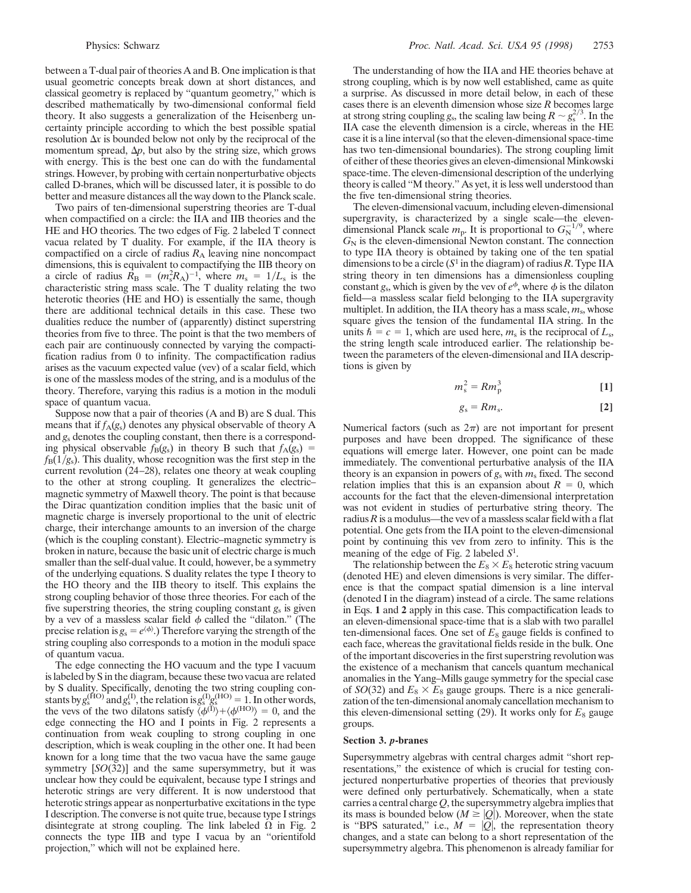between a T-dual pair of theories A and B. One implication is that usual geometric concepts break down at short distances, and classical geometry is replaced by ''quantum geometry,'' which is described mathematically by two-dimensional conformal field theory. It also suggests a generalization of the Heisenberg uncertainty principle according to which the best possible spatial resolution  $\Delta x$  is bounded below not only by the reciprocal of the momentum spread,  $\Delta p$ , but also by the string size, which grows with energy. This is the best one can do with the fundamental strings. However, by probing with certain nonperturbative objects called D-branes, which will be discussed later, it is possible to do better and measure distances all the way down to the Planck scale.

Two pairs of ten-dimensional superstring theories are T-dual when compactified on a circle: the IIA and IIB theories and the HE and HO theories. The two edges of Fig. 2 labeled T connect vacua related by T duality. For example, if the IIA theory is compactified on a circle of radius *R*<sup>A</sup> leaving nine noncompact dimensions, this is equivalent to compactifying the IIB theory on a circle of radius  $\vec{R}_B = (m_s^2 R_A)^{-1}$ , where  $m_s = 1/L_s$  is the characteristic string mass scale. The T duality relating the two heterotic theories (HE and HO) is essentially the same, though there are additional technical details in this case. These two dualities reduce the number of (apparently) distinct superstring theories from five to three. The point is that the two members of each pair are continuously connected by varying the compactification radius from 0 to infinity. The compactification radius arises as the vacuum expected value (vev) of a scalar field, which is one of the massless modes of the string, and is a modulus of the theory. Therefore, varying this radius is a motion in the moduli space of quantum vacua.

Suppose now that a pair of theories (A and B) are S dual. This means that if  $f_A(g_s)$  denotes any physical observable of theory A and *g*<sup>s</sup> denotes the coupling constant, then there is a corresponding physical observable  $f_B(g_s)$  in theory B such that  $f_A(g_s)$  =  $f_B(1/g_s)$ . This duality, whose recognition was the first step in the current revolution (24–28), relates one theory at weak coupling to the other at strong coupling. It generalizes the electric– magnetic symmetry of Maxwell theory. The point is that because the Dirac quantization condition implies that the basic unit of magnetic charge is inversely proportional to the unit of electric charge, their interchange amounts to an inversion of the charge (which is the coupling constant). Electric–magnetic symmetry is broken in nature, because the basic unit of electric charge is much smaller than the self-dual value. It could, however, be a symmetry of the underlying equations. S duality relates the type I theory to the HO theory and the IIB theory to itself. This explains the strong coupling behavior of those three theories. For each of the five superstring theories, the string coupling constant *g*<sup>s</sup> is given by a vev of a massless scalar field  $\phi$  called the "dilaton." (The precise relation is  $g_s = e^{\langle \phi \rangle}$ .) Therefore varying the strength of the string coupling also corresponds to a motion in the moduli space of quantum vacua.

The edge connecting the HO vacuum and the type I vacuum is labeled by S in the diagram, because these two vacua are related by S duality. Specifically, denoting the two string coupling constants by  $g_s^{(HO)}$  and  $g_s^{(I)}$ , the relation is  $g_s^{(I)}g_s^{(HO)} = 1$ . In other words, the vevs of the two dilatons satisfy  $\langle \phi^{(I)} \rangle + \langle \phi^{(HO)} \rangle = 0$ , and the edge connecting the HO and I points in Fig. 2 represents a continuation from weak coupling to strong coupling in one description, which is weak coupling in the other one. It had been known for a long time that the two vacua have the same gauge symmetry [*SO*(32)] and the same supersymmetry, but it was unclear how they could be equivalent, because type I strings and heterotic strings are very different. It is now understood that heterotic strings appear as nonperturbative excitations in the type I description. The converse is not quite true, because type I strings disintegrate at strong coupling. The link labeled  $\Omega$  in Fig. 2 connects the type IIB and type I vacua by an ''orientifold projection,'' which will not be explained here.

The understanding of how the IIA and HE theories behave at strong coupling, which is by now well established, came as quite a surprise. As discussed in more detail below, in each of these cases there is an eleventh dimension whose size *R* becomes large at strong string coupling *g*<sub>s</sub>, the scaling law being  $R \sim g_s^{2/3}$ . In the IIA case the eleventh dimension is a circle, whereas in the HE case it is a line interval (so that the eleven-dimensional space-time has two ten-dimensional boundaries). The strong coupling limit of either of these theories gives an eleven-dimensional Minkowski space-time. The eleven-dimensional description of the underlying theory is called ''M theory.'' As yet, it is less well understood than the five ten-dimensional string theories.

The eleven-dimensional vacuum, including eleven-dimensional supergravity, is characterized by a single scale—the elevendimensional Planck scale  $m_p$ . It is proportional to  $G_N^{-1/9}$ , where  $G_N$  is the eleven-dimensional Newton constant. The connection to type IIA theory is obtained by taking one of the ten spatial dimensions to be a circle  $(S^1$  in the diagram) of radius *R*. Type IIA string theory in ten dimensions has a dimensionless coupling constant  $g_s$ , which is given by the vev of  $e^{\phi}$ , where  $\phi$  is the dilaton field—a massless scalar field belonging to the IIA supergravity multiplet. In addition, the IIA theory has a mass scale,  $m_s$ , whose square gives the tension of the fundamental IIA string. In the units  $\hbar = c = 1$ , which are used here,  $m_s$  is the reciprocal of  $L_s$ , the string length scale introduced earlier. The relationship between the parameters of the eleven-dimensional and IIA descriptions is given by

$$
m_s^2 = Rm_p^3 \tag{1}
$$

$$
g_{\rm s} = Rm_{\rm s}.\tag{2}
$$

Numerical factors (such as  $2\pi$ ) are not important for present purposes and have been dropped. The significance of these equations will emerge later. However, one point can be made immediately. The conventional perturbative analysis of the IIA theory is an expansion in powers of  $g_s$  with  $m_s$  fixed. The second relation implies that this is an expansion about  $R = 0$ , which accounts for the fact that the eleven-dimensional interpretation was not evident in studies of perturbative string theory. The radius  $R$  is a modulus—the vev of a massless scalar field with a flat potential. One gets from the IIA point to the eleven-dimensional point by continuing this vev from zero to infinity. This is the meaning of the edge of Fig. 2 labeled *S*<sup>1</sup> .

The relationship between the  $E_8 \times E_8$  heterotic string vacuum (denoted HE) and eleven dimensions is very similar. The difference is that the compact spatial dimension is a line interval (denoted I in the diagram) instead of a circle. The same relations in Eqs. **1** and **2** apply in this case. This compactification leads to an eleven-dimensional space-time that is a slab with two parallel ten-dimensional faces. One set of  $E_8$  gauge fields is confined to each face, whereas the gravitational fields reside in the bulk. One of the important discoveries in the first superstring revolution was the existence of a mechanism that cancels quantum mechanical anomalies in the Yang–Mills gauge symmetry for the special case of *SO*(32) and  $E_8 \times E_8$  gauge groups. There is a nice generalization of the ten-dimensional anomaly cancellation mechanism to this eleven-dimensional setting  $(29)$ . It works only for  $E_8$  gauge groups.

#### **Section 3.** *p***-branes**

Supersymmetry algebras with central charges admit ''short representations,'' the existence of which is crucial for testing conjectured nonperturbative properties of theories that previously were defined only perturbatively. Schematically, when a state carries a central charge *Q*, the supersymmetry algebra implies that its mass is bounded below  $(M \geq |Q|)$ . Moreover, when the state is "BPS saturated," i.e.,  $\hat{M} = |\tilde{Q}|$ , the representation theory changes, and a state can belong to a short representation of the supersymmetry algebra. This phenomenon is already familiar for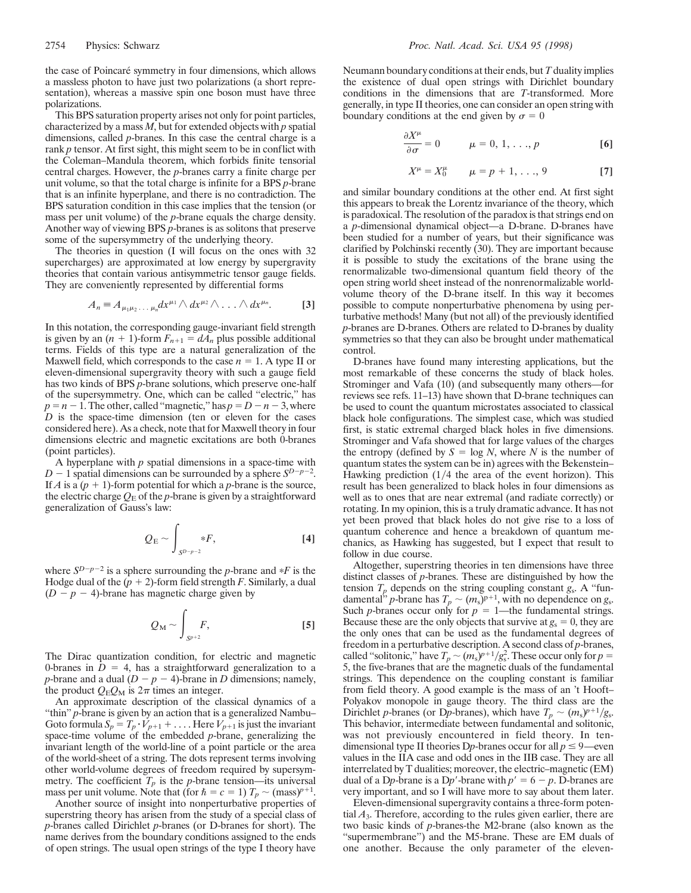the case of Poincaré symmetry in four dimensions, which allows a massless photon to have just two polarizations (a short representation), whereas a massive spin one boson must have three polarizations.

This BPS saturation property arises not only for point particles, characterized by a mass *M*, but for extended objects with *p* spatial dimensions, called *p*-branes. In this case the central charge is a rank *p* tensor. At first sight, this might seem to be in conflict with the Coleman–Mandula theorem, which forbids finite tensorial central charges. However, the *p*-branes carry a finite charge per unit volume, so that the total charge is infinite for a BPS *p*-brane that is an infinite hyperplane, and there is no contradiction. The BPS saturation condition in this case implies that the tension (or mass per unit volume) of the *p*-brane equals the charge density. Another way of viewing BPS *p*-branes is as solitons that preserve some of the supersymmetry of the underlying theory.

The theories in question (I will focus on the ones with 32 supercharges) are approximated at low energy by supergravity theories that contain various antisymmetric tensor gauge fields. They are conveniently represented by differential forms

$$
A_n \equiv A_{\mu_1 \mu_2 \ldots \mu_n} dx^{\mu_1} \wedge dx^{\mu_2} \wedge \ldots \wedge dx^{\mu_n}.
$$
 [3]

In this notation, the corresponding gauge-invariant field strength is given by an  $(n + 1)$ -form  $F_{n+1} = dA_n$  plus possible additional terms. Fields of this type are a natural generalization of the Maxwell field, which corresponds to the case  $n = 1$ . A type II or eleven-dimensional supergravity theory with such a gauge field has two kinds of BPS *p*-brane solutions, which preserve one-half of the supersymmetry. One, which can be called ''electric,'' has  $p = n - 1$ . The other, called "magnetic," has  $p = D - n - 3$ , where *D* is the space-time dimension (ten or eleven for the cases considered here). As a check, note that for Maxwell theory in four dimensions electric and magnetic excitations are both 0-branes (point particles).

A hyperplane with *p* spatial dimensions in a space-time with  $D-1$  spatial dimensions can be surrounded by a sphere  $S^{D-p-2}$ . If *A* is a  $(p + 1)$ -form potential for which a *p*-brane is the source, the electric charge  $Q_E$  of the *p*-brane is given by a straightforward generalization of Gauss's law:

$$
Q_{\rm E} \sim \int_{S^{D-p-2}} *F, \tag{4}
$$

where  $S^{D-p-2}$  is a sphere surrounding the *p*-brane and  $*F$  is the Hodge dual of the  $(p + 2)$ -form field strength *F*. Similarly, a dual  $(D - p - 4)$ -brane has magnetic charge given by

$$
Q_{\rm M} \sim \int_{S^{p+2}} F,\tag{5}
$$

The Dirac quantization condition, for electric and magnetic 0-branes in  $\overline{D} = 4$ , has a straightforward generalization to a *p*-brane and a dual  $(D - p - 4)$ -brane in *D* dimensions; namely, the product  $Q_{\rm E}Q_{\rm M}$  is  $2\pi$  times an integer.

An approximate description of the classical dynamics of a "thin" *p*-brane is given by an action that is a generalized Nambu-Goto formula  $S_p = T_p \cdot V_{p+1} + \dots$  Here  $V_{p+1}$  is just the invariant space-time volume of the embedded *p*-brane, generalizing the invariant length of the world-line of a point particle or the area of the world-sheet of a string. The dots represent terms involving other world-volume degrees of freedom required by supersymmetry. The coefficient  $T_p$  is the *p*-brane tension—its universal mass per unit volume. Note that (for  $\hbar = c = 1$ )  $T_p \sim (mass)^{p+1}$ .

Another source of insight into nonperturbative properties of superstring theory has arisen from the study of a special class of *p*-branes called Dirichlet *p*-branes (or D-branes for short). The name derives from the boundary conditions assigned to the ends of open strings. The usual open strings of the type I theory have Neumann boundary conditions at their ends, but *T* duality implies the existence of dual open strings with Dirichlet boundary conditions in the dimensions that are *T*-transformed. More generally, in type II theories, one can consider an open string with boundary conditions at the end given by  $\sigma = 0$ 

$$
\frac{\partial X^{\mu}}{\partial \sigma} = 0 \qquad \mu = 0, 1, \dots, p \qquad \qquad [6]
$$

$$
X^{\mu} = X_0^{\mu} \qquad \mu = p + 1, \ldots, 9
$$
 [7]

and similar boundary conditions at the other end. At first sight this appears to break the Lorentz invariance of the theory, which is paradoxical. The resolution of the paradox is that strings end on a *p*-dimensional dynamical object—a D-brane. D-branes have been studied for a number of years, but their significance was clarified by Polchinski recently (30). They are important because it is possible to study the excitations of the brane using the renormalizable two-dimensional quantum field theory of the open string world sheet instead of the nonrenormalizable worldvolume theory of the D-brane itself. In this way it becomes possible to compute nonperturbative phenomena by using perturbative methods! Many (but not all) of the previously identified *p*-branes are D-branes. Others are related to D-branes by duality symmetries so that they can also be brought under mathematical control.

D-branes have found many interesting applications, but the most remarkable of these concerns the study of black holes. Strominger and Vafa (10) (and subsequently many others—for reviews see refs. 11–13) have shown that D-brane techniques can be used to count the quantum microstates associated to classical black hole configurations. The simplest case, which was studied first, is static extremal charged black holes in five dimensions. Strominger and Vafa showed that for large values of the charges the entropy (defined by  $S = \log N$ , where *N* is the number of quantum states the system can be in) agrees with the Bekenstein– Hawking prediction  $(1/4)$  the area of the event horizon). This result has been generalized to black holes in four dimensions as well as to ones that are near extremal (and radiate correctly) or rotating. In my opinion, this is a truly dramatic advance. It has not yet been proved that black holes do not give rise to a loss of quantum coherence and hence a breakdown of quantum mechanics, as Hawking has suggested, but I expect that result to follow in due course.

Altogether, superstring theories in ten dimensions have three distinct classes of *p*-branes. These are distinguished by how the tension  $T_p$  depends on the string coupling constant  $g_s$ . A "fundamental<sup>"</sup> *p*-brane has  $T_p \sim (m_s)^{p+1}$ , with no dependence on *g*<sub>s</sub>. Such *p*-branes occur only for  $p = 1$ —the fundamental strings. Because these are the only objects that survive at  $g_s = 0$ , they are the only ones that can be used as the fundamental degrees of freedom in a perturbative description. A second class of *p*-branes, called "solitonic," have  $T_p \sim (m_s)^{p+1}/g_s^2$ . These occur only for  $p =$ 5, the five-branes that are the magnetic duals of the fundamental strings. This dependence on the coupling constant is familiar from field theory. A good example is the mass of an 't Hooft– Polyakov monopole in gauge theory. The third class are the Dirichlet *p*-branes (or D*p*-branes), which have  $T_p \sim (m_s)^{p+1}/g_s$ . This behavior, intermediate between fundamental and solitonic, was not previously encountered in field theory. In tendimensional type II theories D<sub>p</sub>-branes occur for all  $p \leq 9$ —even values in the IIA case and odd ones in the IIB case. They are all interrelated by T dualities; moreover, the electric–magnetic (EM) dual of a Dp-brane is a Dp'-brane with  $p' = 6 - p$ . D-branes are very important, and so I will have more to say about them later.

Eleven-dimensional supergravity contains a three-form potential  $A_3$ . Therefore, according to the rules given earlier, there are two basic kinds of *p*-branes-the M2-brane (also known as the ''supermembrane'') and the M5-brane. These are EM duals of one another. Because the only parameter of the eleven-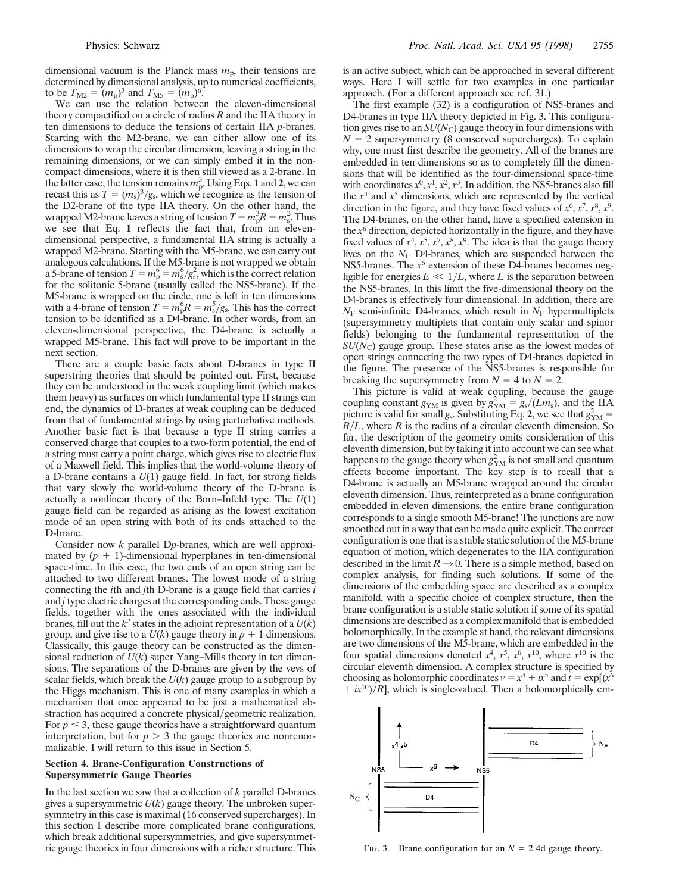dimensional vacuum is the Planck mass  $m<sub>p</sub>$ , their tensions are determined by dimensional analysis, up to numerical coefficients, to be  $T_{\text{M2}} = (m_{\text{p}})^3$  and  $T_{\text{M5}} = (m_{\text{p}})^6$ .

We can use the relation between the eleven-dimensional theory compactified on a circle of radius *R* and the IIA theory in ten dimensions to deduce the tensions of certain IIA *p*-branes. Starting with the M2-brane, we can either allow one of its dimensions to wrap the circular dimension, leaving a string in the remaining dimensions, or we can simply embed it in the noncompact dimensions, where it is then still viewed as a 2-brane. In the latter case, the tension remains  $m_p^3$ . Using Eqs. 1 and 2, we can recast this as  $T = (m_s)^3/g_s$ , which we recognize as the tension of the D2-brane of the type IIA theory. On the other hand, the wrapped M2-brane leaves a string of tension  $T = m_p^3 R = m_s^2$ . Thus we see that Eq. **1** reflects the fact that, from an elevendimensional perspective, a fundamental IIA string is actually a wrapped M2-brane. Starting with the M5-brane, we can carry out analogous calculations. If the M5-brane is not wrapped we obtain a 5-brane of tension  $T = m_p^6 = m_s^6/g_s^2$ , which is the correct relation for the solitonic 5-brane (usually called the NS5-brane). If the M5-brane is wrapped on the circle, one is left in ten dimensions with a 4-brane of tension  $T = m_p^6 R = m_s^5/g_s$ . This has the correct tension to be identified as a D4-brane. In other words, from an eleven-dimensional perspective, the D4-brane is actually a wrapped M5-brane. This fact will prove to be important in the next section.

There are a couple basic facts about D-branes in type II superstring theories that should be pointed out. First, because they can be understood in the weak coupling limit (which makes them heavy) as surfaces on which fundamental type II strings can end, the dynamics of D-branes at weak coupling can be deduced from that of fundamental strings by using perturbative methods. Another basic fact is that because a type II string carries a conserved charge that couples to a two-form potential, the end of a string must carry a point charge, which gives rise to electric flux of a Maxwell field. This implies that the world-volume theory of a D-brane contains a *U*(1) gauge field. In fact, for strong fields that vary slowly the world-volume theory of the D-brane is actually a nonlinear theory of the Born–Infeld type. The *U*(1) gauge field can be regarded as arising as the lowest excitation mode of an open string with both of its ends attached to the D-brane.

Consider now *k* parallel D*p*-branes, which are well approximated by  $(p + 1)$ -dimensional hyperplanes in ten-dimensional space-time. In this case, the two ends of an open string can be attached to two different branes. The lowest mode of a string connecting the *i*th and *j*th D-brane is a gauge field that carries *i* and *j* type electric charges at the corresponding ends. These gauge fields, together with the ones associated with the individual branes, fill out the  $k^2$  states in the adjoint representation of a  $U(k)$ group, and give rise to a  $U(k)$  gauge theory in  $p + 1$  dimensions. Classically, this gauge theory can be constructed as the dimensional reduction of *U*(*k*) super Yang–Mills theory in ten dimensions. The separations of the D-branes are given by the vevs of scalar fields, which break the *U*(*k*) gauge group to a subgroup by the Higgs mechanism. This is one of many examples in which a mechanism that once appeared to be just a mathematical abstraction has acquired a concrete physical/geometric realization. For  $p \leq 3$ , these gauge theories have a straightforward quantum interpretation, but for  $p > 3$  the gauge theories are nonrenormalizable. I will return to this issue in Section 5.

#### **Section 4. Brane-Configuration Constructions of Supersymmetric Gauge Theories**

In the last section we saw that a collection of *k* parallel D-branes gives a supersymmetric *U*(*k*) gauge theory. The unbroken supersymmetry in this case is maximal (16 conserved supercharges). In this section I describe more complicated brane configurations, which break additional supersymmetries, and give supersymmetric gauge theories in four dimensions with a richer structure. This

is an active subject, which can be approached in several different ways. Here I will settle for two examples in one particular approach. (For a different approach see ref. 31.)

The first example (32) is a configuration of NS5-branes and D4-branes in type IIA theory depicted in Fig. 3. This configuration gives rise to an  $SU(N_C)$  gauge theory in four dimensions with  $N = 2$  supersymmetry (8 conserved supercharges). To explain why, one must first describe the geometry. All of the branes are embedded in ten dimensions so as to completely fill the dimensions that will be identified as the four-dimensional space-time with coordinates  $x^0$ ,  $x^1$ ,  $x^2$ ,  $x^3$ . In addition, the NS5-branes also fill the  $x^4$  and  $x^5$  dimensions, which are represented by the vertical direction in the figure, and they have fixed values of  $x^6$ ,  $x^7$ ,  $x^8$ ,  $x^9$ . The D4-branes, on the other hand, have a specified extension in the *x*<sup>6</sup> direction, depicted horizontally in the figure, and they have fixed values of  $x^4$ ,  $x^5$ ,  $x^7$ ,  $x^8$ ,  $x^9$ . The idea is that the gauge theory lives on the *N<sub>C</sub>* D4-branes, which are suspended between the NS5-branes. The  $x^6$  extension of these D4-branes becomes negligible for energies  $E \ll 1/L$ , where *L* is the separation between the NS5-branes. In this limit the five-dimensional theory on the D4-branes is effectively four dimensional. In addition, there are  $N_F$  semi-infinite D4-branes, which result in  $N_F$  hypermultiplets (supersymmetry multiplets that contain only scalar and spinor fields) belonging to the fundamental representation of the *SU*(*N*C) gauge group. These states arise as the lowest modes of open strings connecting the two types of D4-branes depicted in the figure. The presence of the NS5-branes is responsible for breaking the supersymmetry from  $N = 4$  to  $N = 2$ .

This picture is valid at weak coupling, because the gauge coupling constant  $g_{YM}$  is given by  $g_{YM}^2 = g_s/(Lm_s)$ , and the IIA picture is valid for small  $g_s$ . Substituting Eq. 2, we see that  $g_{YM}^2 =$  $R/L$ , where  $R$  is the radius of a circular eleventh dimension. So far, the description of the geometry omits consideration of this eleventh dimension, but by taking it into account we can see what happens to the gauge theory when  $g_{YM}^2$  is not small and quantum effects become important. The key step is to recall that a D4-brane is actually an M5-brane wrapped around the circular eleventh dimension. Thus, reinterpreted as a brane configuration embedded in eleven dimensions, the entire brane configuration corresponds to a single smooth M5-brane! The junctions are now smoothed out in a way that can be made quite explicit. The correct configuration is one that is a stable static solution of the M5-brane equation of motion, which degenerates to the IIA configuration described in the limit  $R \rightarrow 0$ . There is a simple method, based on complex analysis, for finding such solutions. If some of the dimensions of the embedding space are described as a complex manifold, with a specific choice of complex structure, then the brane configuration is a stable static solution if some of its spatial dimensions are described as a complex manifold that is embedded holomorphically. In the example at hand, the relevant dimensions are two dimensions of the M5-brane, which are embedded in the four spatial dimensions denoted  $x^4$ ,  $x^5$ ,  $x^6$ ,  $x^{10}$ , where  $x^{10}$  is the circular eleventh dimension. A complex structure is specified by choosing as holomorphic coordinates  $v = x^4 + ix^5$  and  $t = \exp[(x^6 + x^5)]$  $+ i x^{10}/R$ , which is single-valued. Then a holomorphically em-



FIG. 3. Brane configuration for an  $N = 2$  4d gauge theory.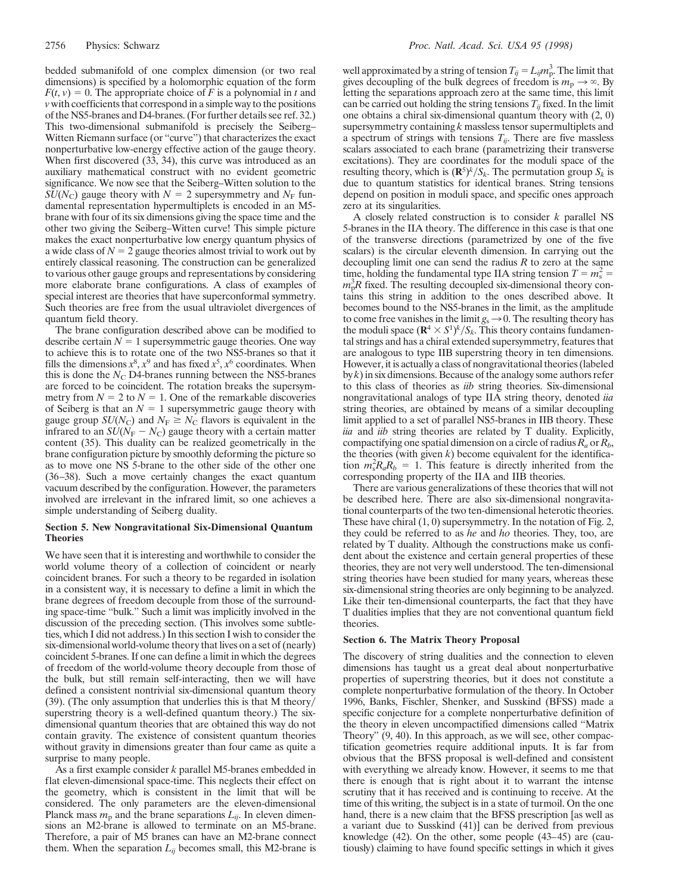bedded submanifold of one complex dimension (or two real dimensions) is specified by a holomorphic equation of the form  $F(t, v) = 0$ . The appropriate choice of *F* is a polynomial in *t* and *v*with coefficients that correspond in a simple way to the positions of the NS5-branes and D4-branes. (For further details see ref. 32.) This two-dimensional submanifold is precisely the Seiberg– Witten Riemann surface (or "curve") that characterizes the exact nonperturbative low-energy effective action of the gauge theory. When first discovered (33, 34), this curve was introduced as an auxiliary mathematical construct with no evident geometric significance. We now see that the Seiberg–Witten solution to the  $S\bar{U}(N_C)$  gauge theory with  $N = 2$  supersymmetry and  $N_F$  fundamental representation hypermultiplets is encoded in an M5 brane with four of its six dimensions giving the space time and the other two giving the Seiberg–Witten curve! This simple picture makes the exact nonperturbative low energy quantum physics of a wide class of  $N = 2$  gauge theories almost trivial to work out by entirely classical reasoning. The construction can be generalized to various other gauge groups and representations by considering more elaborate brane configurations. A class of examples of special interest are theories that have superconformal symmetry. Such theories are free from the usual ultraviolet divergences of quantum field theory.

The brane configuration described above can be modified to describe certain  $N = 1$  supersymmetric gauge theories. One way to achieve this is to rotate one of the two NS5-branes so that it fills the dimensions  $x^8$ ,  $x^9$  and has fixed  $x^5$ ,  $x^6$  coordinates. When this is done the  $N<sub>C</sub>$  D4-branes running between the NS5-branes are forced to be coincident. The rotation breaks the supersymmetry from  $N = 2$  to  $N = 1$ . One of the remarkable discoveries of Seiberg is that an  $N = 1$  supersymmetric gauge theory with gauge group *SU*( $N_c$ ) and  $N_F \geq N_c$  flavors is equivalent in the infrared to an  $SU(N_F - N_C)$  gauge theory with a certain matter content (35). This duality can be realized geometrically in the brane configuration picture by smoothly deforming the picture so as to move one NS 5-brane to the other side of the other one (36–38). Such a move certainly changes the exact quantum vacuum described by the configuration. However, the parameters involved are irrelevant in the infrared limit, so one achieves a simple understanding of Seiberg duality.

## **Section 5. New Nongravitational Six-Dimensional Quantum Theories**

We have seen that it is interesting and worthwhile to consider the world volume theory of a collection of coincident or nearly coincident branes. For such a theory to be regarded in isolation in a consistent way, it is necessary to define a limit in which the brane degrees of freedom decouple from those of the surrounding space-time ''bulk.'' Such a limit was implicitly involved in the discussion of the preceding section. (This involves some subtleties, which I did not address.) In this section I wish to consider the six-dimensional world-volume theory that lives on a set of (nearly) coincident 5-branes. If one can define a limit in which the degrees of freedom of the world-volume theory decouple from those of the bulk, but still remain self-interacting, then we will have defined a consistent nontrivial six-dimensional quantum theory  $(39)$ . (The only assumption that underlies this is that M theory) superstring theory is a well-defined quantum theory.) The sixdimensional quantum theories that are obtained this way do not contain gravity. The existence of consistent quantum theories without gravity in dimensions greater than four came as quite a surprise to many people.

As a first example consider *k* parallel M5-branes embedded in flat eleven-dimensional space-time. This neglects their effect on the geometry, which is consistent in the limit that will be considered. The only parameters are the eleven-dimensional Planck mass  $m_p$  and the brane separations  $L_{ij}$ . In eleven dimensions an M2-brane is allowed to terminate on an M5-brane. Therefore, a pair of M5 branes can have an M2-brane connect them. When the separation  $L_{ij}$  becomes small, this M2-brane is

well approximated by a string of tension  $T_{ij} = L_{ij} m_{\rm p}^3$ . The limit that gives decoupling of the bulk degrees of freedom is  $m_p \to \infty$ . By letting the separations approach zero at the same time, this limit can be carried out holding the string tensions  $T_{ii}$  fixed. In the limit one obtains a chiral six-dimensional quantum theory with (2, 0) supersymmetry containing *k* massless tensor supermultiplets and a spectrum of strings with tensions  $T_{ij}$ . There are five massless scalars associated to each brane (parametrizing their transverse excitations). They are coordinates for the moduli space of the resulting theory, which is  $(\mathbb{R}^5)^k / S_k$ . The permutation group  $S_k$  is due to quantum statistics for identical branes. String tensions depend on position in moduli space, and specific ones approach zero at its singularities.

A closely related construction is to consider *k* parallel NS 5-branes in the IIA theory. The difference in this case is that one of the transverse directions (parametrized by one of the five scalars) is the circular eleventh dimension. In carrying out the decoupling limit one can send the radius *R* to zero at the same time, holding the fundamental type IIA string tension  $T = m_s^2 =$  $m_P^3 R$  fixed. The resulting decoupled six-dimensional theory contains this string in addition to the ones described above. It becomes bound to the NS5-branes in the limit, as the amplitude to come free vanishes in the limit  $g_s \rightarrow 0$ . The resulting theory has the moduli space  $(\mathbb{R}^4 \times S^1)^k / S_k$ . This theory contains fundamental strings and has a chiral extended supersymmetry, features that are analogous to type IIB superstring theory in ten dimensions. However, it is actually a class of nongravitational theories (labeled by *k*) in six dimensions. Because of the analogy some authors refer to this class of theories as *iib* string theories. Six-dimensional nongravitational analogs of type IIA string theory, denoted *iia* string theories, are obtained by means of a similar decoupling limit applied to a set of parallel NS5-branes in IIB theory. These *iia* and *iib* string theories are related by T duality. Explicitly, compactifying one spatial dimension on a circle of radius *Ra* or*Rb*, the theories (with given *k*) become equivalent for the identification  $m_s^2 R_a R_b = 1$ . This feature is directly inherited from the corresponding property of the IIA and IIB theories.

There are various generalizations of these theories that will not be described here. There are also six-dimensional nongravitational counterparts of the two ten-dimensional heterotic theories. These have chiral (1, 0) supersymmetry. In the notation of Fig. 2, they could be referred to as *he* and *ho* theories. They, too, are related by T duality. Although the constructions make us confident about the existence and certain general properties of these theories, they are not very well understood. The ten-dimensional string theories have been studied for many years, whereas these six-dimensional string theories are only beginning to be analyzed. Like their ten-dimensional counterparts, the fact that they have T dualities implies that they are not conventional quantum field theories.

### **Section 6. The Matrix Theory Proposal**

The discovery of string dualities and the connection to eleven dimensions has taught us a great deal about nonperturbative properties of superstring theories, but it does not constitute a complete nonperturbative formulation of the theory. In October 1996, Banks, Fischler, Shenker, and Susskind (BFSS) made a specific conjecture for a complete nonperturbative definition of the theory in eleven uncompactified dimensions called ''Matrix Theory'' (9, 40). In this approach, as we will see, other compactification geometries require additional inputs. It is far from obvious that the BFSS proposal is well-defined and consistent with everything we already know. However, it seems to me that there is enough that is right about it to warrant the intense scrutiny that it has received and is continuing to receive. At the time of this writing, the subject is in a state of turmoil. On the one hand, there is a new claim that the BFSS prescription [as well as a variant due to Susskind (41)] can be derived from previous knowledge (42). On the other, some people (43–45) are (cautiously) claiming to have found specific settings in which it gives